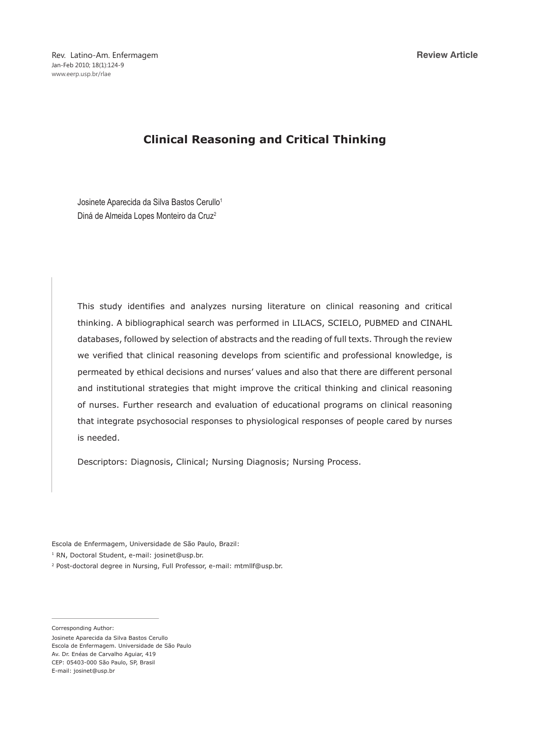# **Clinical Reasoning and Critical Thinking**

Josinete Aparecida da Silva Bastos Cerullo<sup>1</sup> Diná de Almeida Lopes Monteiro da Cruz2

This study identifies and analyzes nursing literature on clinical reasoning and critical thinking. A bibliographical search was performed in LILACS, SCIELO, PUBMED and CINAHL databases, followed by selection of abstracts and the reading of full texts. Through the review we verified that clinical reasoning develops from scientific and professional knowledge, is permeated by ethical decisions and nurses' values and also that there are different personal and institutional strategies that might improve the critical thinking and clinical reasoning of nurses. Further research and evaluation of educational programs on clinical reasoning that integrate psychosocial responses to physiological responses of people cared by nurses is needed.

Descriptors: Diagnosis, Clinical; Nursing Diagnosis; Nursing Process.

Escola de Enfermagem, Universidade de São Paulo, Brazil:

<sup>1</sup> RN, Doctoral Student, e-mail: josinet@usp.br.

2 Post-doctoral degree in Nursing, Full Professor, e-mail: mtmllf@usp.br.

Corresponding Author:

Josinete Aparecida da Silva Bastos Cerullo Escola de Enfermagem. Universidade de São Paulo Av. Dr. Enéas de Carvalho Aguiar, 419 CEP: 05403-000 São Paulo, SP, Brasil E-mail: josinet@usp.br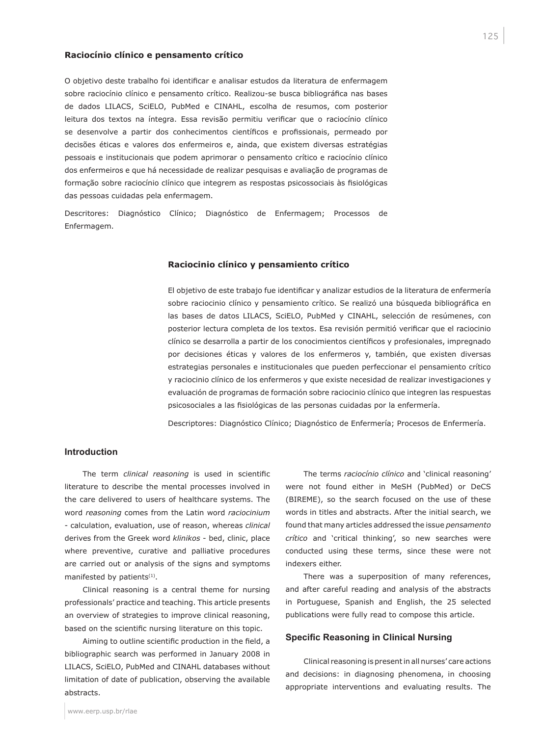#### **Raciocínio clínico e pensamento crítico**

O objetivo deste trabalho foi identificar e analisar estudos da literatura de enfermagem sobre raciocínio clínico e pensamento crítico. Realizou-se busca bibliográfica nas bases de dados LILACS, SciELO, PubMed e CINAHL, escolha de resumos, com posterior leitura dos textos na íntegra. Essa revisão permitiu verificar que o raciocínio clínico se desenvolve a partir dos conhecimentos científicos e profissionais, permeado por decisões éticas e valores dos enfermeiros e, ainda, que existem diversas estratégias pessoais e institucionais que podem aprimorar o pensamento crítico e raciocínio clínico dos enfermeiros e que há necessidade de realizar pesquisas e avaliação de programas de formação sobre raciocínio clínico que integrem as respostas psicossociais às fisiológicas das pessoas cuidadas pela enfermagem.

Descritores: Diagnóstico Clínico; Diagnóstico de Enfermagem; Processos de Enfermagem.

#### **Raciocinio clínico y pensamiento crítico**

El objetivo de este trabajo fue identificar y analizar estudios de la literatura de enfermería sobre raciocinio clínico y pensamiento crítico. Se realizó una búsqueda bibliográfica en las bases de datos LILACS, SciELO, PubMed y CINAHL, selección de resúmenes, con posterior lectura completa de los textos. Esa revisión permitió verificar que el raciocinio clínico se desarrolla a partir de los conocimientos científicos y profesionales, impregnado por decisiones éticas y valores de los enfermeros y, también, que existen diversas estrategias personales e institucionales que pueden perfeccionar el pensamiento crítico y raciocinio clínico de los enfermeros y que existe necesidad de realizar investigaciones y evaluación de programas de formación sobre raciocinio clínico que integren las respuestas psicosociales a las fisiológicas de las personas cuidadas por la enfermería.

Descriptores: Diagnóstico Clínico; Diagnóstico de Enfermería; Procesos de Enfermería.

## **Introduction**

The term *clinical reasoning* is used in scientific literature to describe the mental processes involved in the care delivered to users of healthcare systems. The word *reasoning* comes from the Latin word *raciocinium* - calculation, evaluation, use of reason, whereas *clinical* derives from the Greek word *klinikos* - bed, clinic, place where preventive, curative and palliative procedures are carried out or analysis of the signs and symptoms manifested by patients<sup>(1)</sup>.

Clinical reasoning is a central theme for nursing professionals' practice and teaching. This article presents an overview of strategies to improve clinical reasoning, based on the scientific nursing literature on this topic.

Aiming to outline scientific production in the field, a bibliographic search was performed in January 2008 in LILACS, SciELO, PubMed and CINAHL databases without limitation of date of publication, observing the available abstracts.

The terms *raciocínio clínico* and 'clinical reasoning' were not found either in MeSH (PubMed) or DeCS (BIREME), so the search focused on the use of these words in titles and abstracts. After the initial search, we found that many articles addressed the issue *pensamento crítico* and 'critical thinking', so new searches were conducted using these terms, since these were not indexers either.

There was a superposition of many references, and after careful reading and analysis of the abstracts in Portuguese, Spanish and English, the 25 selected publications were fully read to compose this article.

#### **Specific Reasoning in Clinical Nursing**

Clinical reasoning is present in all nurses' care actions and decisions: in diagnosing phenomena, in choosing appropriate interventions and evaluating results. The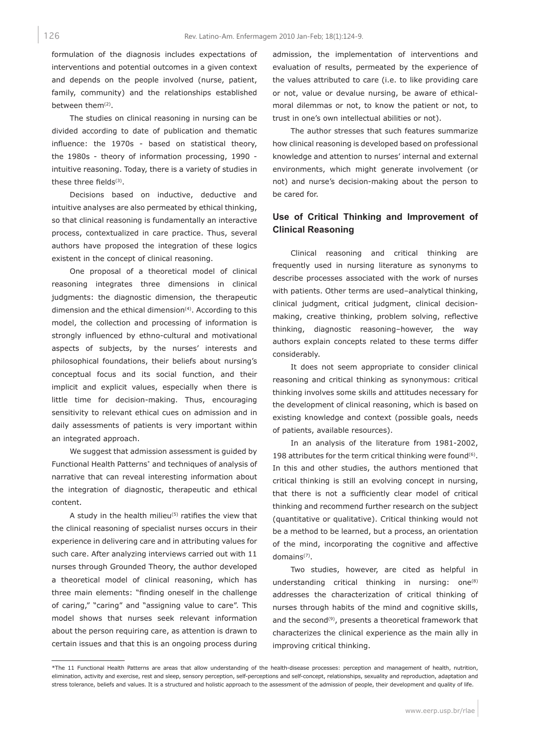formulation of the diagnosis includes expectations of interventions and potential outcomes in a given context and depends on the people involved (nurse, patient, family, community) and the relationships established between them(2).

The studies on clinical reasoning in nursing can be divided according to date of publication and thematic influence: the 1970s - based on statistical theory, the 1980s - theory of information processing, 1990 intuitive reasoning. Today, there is a variety of studies in these three fields<sup>(3)</sup>.

Decisions based on inductive, deductive and intuitive analyses are also permeated by ethical thinking, so that clinical reasoning is fundamentally an interactive process, contextualized in care practice. Thus, several authors have proposed the integration of these logics existent in the concept of clinical reasoning.

One proposal of a theoretical model of clinical reasoning integrates three dimensions in clinical judgments: the diagnostic dimension, the therapeutic dimension and the ethical dimension $(4)$ . According to this model, the collection and processing of information is strongly influenced by ethno-cultural and motivational aspects of subjects, by the nurses' interests and philosophical foundations, their beliefs about nursing's conceptual focus and its social function, and their implicit and explicit values, especially when there is little time for decision-making. Thus, encouraging sensitivity to relevant ethical cues on admission and in daily assessments of patients is very important within an integrated approach.

We suggest that admission assessment is guided by Functional Health Patterns\* and techniques of analysis of narrative that can reveal interesting information about the integration of diagnostic, therapeutic and ethical content.

A study in the health milieu(5) ratifies the view that the clinical reasoning of specialist nurses occurs in their experience in delivering care and in attributing values for such care. After analyzing interviews carried out with 11 nurses through Grounded Theory, the author developed a theoretical model of clinical reasoning, which has three main elements: "finding oneself in the challenge of caring," "caring" and "assigning value to care". This model shows that nurses seek relevant information about the person requiring care, as attention is drawn to certain issues and that this is an ongoing process during

admission, the implementation of interventions and evaluation of results, permeated by the experience of the values attributed to care (i.e. to like providing care or not, value or devalue nursing, be aware of ethicalmoral dilemmas or not, to know the patient or not, to trust in one's own intellectual abilities or not).

The author stresses that such features summarize how clinical reasoning is developed based on professional knowledge and attention to nurses' internal and external environments, which might generate involvement (or not) and nurse's decision-making about the person to be cared for.

# **Use of Critical Thinking and Improvement of Clinical Reasoning**

Clinical reasoning and critical thinking are frequently used in nursing literature as synonyms to describe processes associated with the work of nurses with patients. Other terms are used–analytical thinking, clinical judgment, critical judgment, clinical decisionmaking, creative thinking, problem solving, reflective thinking, diagnostic reasoning–however, the way authors explain concepts related to these terms differ considerably.

It does not seem appropriate to consider clinical reasoning and critical thinking as synonymous: critical thinking involves some skills and attitudes necessary for the development of clinical reasoning, which is based on existing knowledge and context (possible goals, needs of patients, available resources).

In an analysis of the literature from 1981-2002, 198 attributes for the term critical thinking were found $(6)$ . In this and other studies, the authors mentioned that critical thinking is still an evolving concept in nursing, that there is not a sufficiently clear model of critical thinking and recommend further research on the subject (quantitative or qualitative). Critical thinking would not be a method to be learned, but a process, an orientation of the mind, incorporating the cognitive and affective domains(7).

Two studies, however, are cited as helpful in understanding critical thinking in nursing: one<sup>(8)</sup> addresses the characterization of critical thinking of nurses through habits of the mind and cognitive skills, and the second<sup>(9)</sup>, presents a theoretical framework that characterizes the clinical experience as the main ally in improving critical thinking.

126

<sup>\*</sup>The 11 Functional Health Patterns are areas that allow understanding of the health-disease processes: perception and management of health, nutrition, elimination, activity and exercise, rest and sleep, sensory perception, self-perceptions and self-concept, relationships, sexuality and reproduction, adaptation and stress tolerance, beliefs and values. It is a structured and holistic approach to the assessment of the admission of people, their development and quality of life.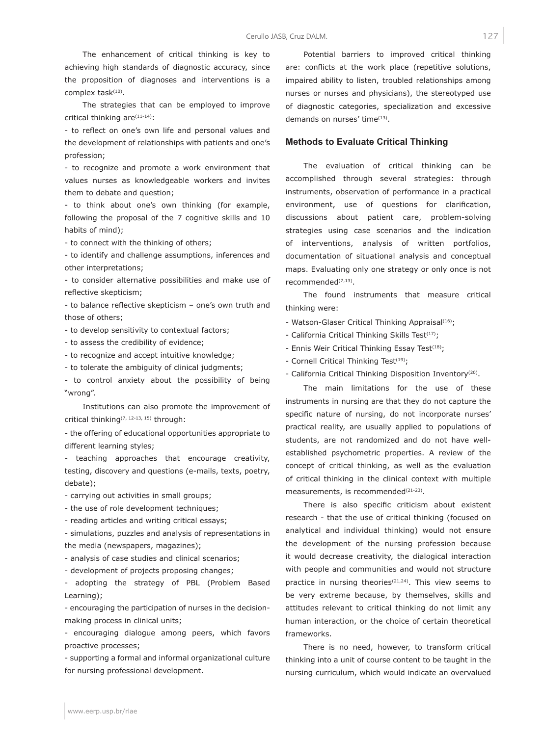The enhancement of critical thinking is key to achieving high standards of diagnostic accuracy, since the proposition of diagnoses and interventions is a complex task(10).

The strategies that can be employed to improve critical thinking are(11-14):

- to reflect on one's own life and personal values and the development of relationships with patients and one's profession;

- to recognize and promote a work environment that values nurses as knowledgeable workers and invites them to debate and question;

- to think about one's own thinking (for example, following the proposal of the 7 cognitive skills and 10 habits of mind);

- to connect with the thinking of others;

- to identify and challenge assumptions, inferences and other interpretations;

- to consider alternative possibilities and make use of reflective skepticism;

- to balance reflective skepticism – one's own truth and those of others;

- to develop sensitivity to contextual factors;
- to assess the credibility of evidence;
- to recognize and accept intuitive knowledge;
- to tolerate the ambiguity of clinical judgments;

- to control anxiety about the possibility of being "wrong".

Institutions can also promote the improvement of critical thinking(7, 12-13, 15) through:

- the offering of educational opportunities appropriate to different learning styles;

- teaching approaches that encourage creativity, testing, discovery and questions (e-mails, texts, poetry, debate);

- carrying out activities in small groups;

- the use of role development techniques;

- reading articles and writing critical essays;

- simulations, puzzles and analysis of representations in the media (newspapers, magazines);

- analysis of case studies and clinical scenarios;
- development of projects proposing changes;

- adopting the strategy of PBL (Problem Based Learning);

- encouraging the participation of nurses in the decisionmaking process in clinical units;

- encouraging dialogue among peers, which favors proactive processes;

- supporting a formal and informal organizational culture for nursing professional development.

Potential barriers to improved critical thinking are: conflicts at the work place (repetitive solutions, impaired ability to listen, troubled relationships among nurses or nurses and physicians), the stereotyped use of diagnostic categories, specialization and excessive demands on nurses' time<sup>(13)</sup>.

#### **Methods to Evaluate Critical Thinking**

The evaluation of critical thinking can be accomplished through several strategies: through instruments, observation of performance in a practical environment, use of questions for clarification, discussions about patient care, problem-solving strategies using case scenarios and the indication of interventions, analysis of written portfolios, documentation of situational analysis and conceptual maps. Evaluating only one strategy or only once is not recommended(7,13).

The found instruments that measure critical thinking were:

- Watson-Glaser Critical Thinking Appraisal<sup>(16)</sup>;
- California Critical Thinking Skills Test<sup>(17)</sup>;
- Ennis Weir Critical Thinking Essay Test<sup>(18)</sup>;
- Cornell Critical Thinking Test<sup>(19)</sup>;
- California Critical Thinking Disposition Inventory(20).

The main limitations for the use of these instruments in nursing are that they do not capture the specific nature of nursing, do not incorporate nurses' practical reality, are usually applied to populations of students, are not randomized and do not have wellestablished psychometric properties. A review of the concept of critical thinking, as well as the evaluation of critical thinking in the clinical context with multiple measurements, is recommended<sup>(21-23)</sup>.

There is also specific criticism about existent research - that the use of critical thinking (focused on analytical and individual thinking) would not ensure the development of the nursing profession because it would decrease creativity, the dialogical interaction with people and communities and would not structure practice in nursing theories<sup>(21,24)</sup>. This view seems to be very extreme because, by themselves, skills and attitudes relevant to critical thinking do not limit any human interaction, or the choice of certain theoretical frameworks.

There is no need, however, to transform critical thinking into a unit of course content to be taught in the nursing curriculum, which would indicate an overvalued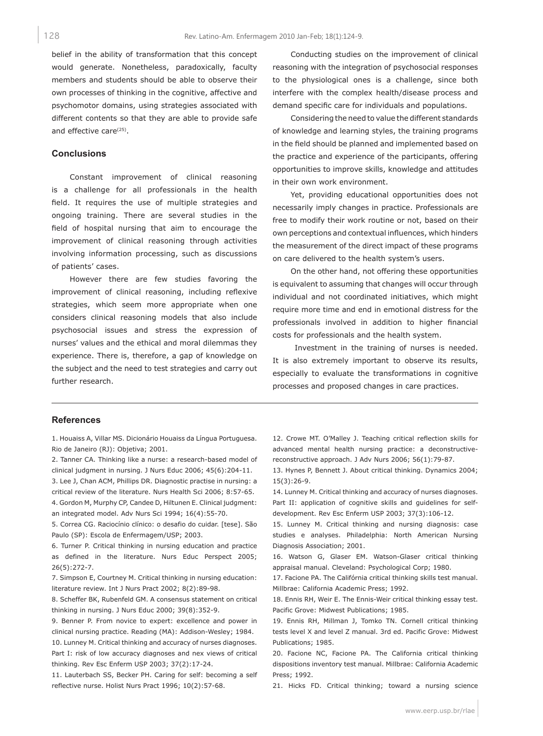belief in the ability of transformation that this concept would generate. Nonetheless, paradoxically, faculty members and students should be able to observe their own processes of thinking in the cognitive, affective and psychomotor domains, using strategies associated with different contents so that they are able to provide safe and effective care<sup>(25)</sup>.

#### **Conclusions**

Constant improvement of clinical reasoning is a challenge for all professionals in the health field. It requires the use of multiple strategies and ongoing training. There are several studies in the field of hospital nursing that aim to encourage the improvement of clinical reasoning through activities involving information processing, such as discussions of patients' cases.

However there are few studies favoring the improvement of clinical reasoning, including reflexive strategies, which seem more appropriate when one considers clinical reasoning models that also include psychosocial issues and stress the expression of nurses' values and the ethical and moral dilemmas they experience. There is, therefore, a gap of knowledge on the subject and the need to test strategies and carry out further research.

Conducting studies on the improvement of clinical reasoning with the integration of psychosocial responses to the physiological ones is a challenge, since both interfere with the complex health/disease process and demand specific care for individuals and populations.

Considering the need to value the different standards of knowledge and learning styles, the training programs in the field should be planned and implemented based on the practice and experience of the participants, offering opportunities to improve skills, knowledge and attitudes in their own work environment.

Yet, providing educational opportunities does not necessarily imply changes in practice. Professionals are free to modify their work routine or not, based on their own perceptions and contextual influences, which hinders the measurement of the direct impact of these programs on care delivered to the health system's users.

On the other hand, not offering these opportunities is equivalent to assuming that changes will occur through individual and not coordinated initiatives, which might require more time and end in emotional distress for the professionals involved in addition to higher financial costs for professionals and the health system.

 Investment in the training of nurses is needed. It is also extremely important to observe its results, especially to evaluate the transformations in cognitive processes and proposed changes in care practices.

### **References**

1. Houaiss A, Villar MS. Dicionário Houaiss da Língua Portuguesa. Rio de Janeiro (RJ): Objetiva; 2001.

2. Tanner CA. Thinking like a nurse: a research-based model of clinical judgment in nursing. J Nurs Educ 2006; 45(6):204-11.

3. Lee J, Chan ACM, Phillips DR. Diagnostic practise in nursing: a critical review of the literature. Nurs Health Sci 2006; 8:57-65. 4. Gordon M, Murphy CP, Candee D, Hiltunen E. Clinical judgment: an integrated model. Adv Nurs Sci 1994; 16(4):55-70.

5. Correa CG. Raciocínio clínico: o desafio do cuidar. [tese]. São Paulo (SP): Escola de Enfermagem/USP; 2003.

6. Turner P. Critical thinking in nursing education and practice as defined in the literature. Nurs Educ Perspect 2005; 26(5):272-7.

7. Simpson E, Courtney M. Critical thinking in nursing education: literature review. Int J Nurs Pract 2002; 8(2):89-98.

8. Scheffer BK, Rubenfeld GM. A consensus statement on critical thinking in nursing. J Nurs Educ 2000; 39(8):352-9.

9. Benner P. From novice to expert: excellence and power in clinical nursing practice. Reading (MA): Addison-Wesley; 1984. 10. Lunney M. Critical thinking and accuracy of nurses diagnoses.

Part I: risk of low accuracy diagnoses and nex views of critical thinking. Rev Esc Enferm USP 2003; 37(2):17-24.

11. Lauterbach SS, Becker PH. Caring for self: becoming a self reflective nurse. Holist Nurs Pract 1996; 10(2):57-68.

12. Crowe MT. O'Malley J. Teaching critical reflection skills for advanced mental health nursing practice: a deconstructivereconstructive approach. J Adv Nurs 2006; 56(1):79-87.

13. Hynes P, Bennett J. About critical thinking. Dynamics 2004; 15(3):26-9.

14. Lunney M. Critical thinking and accuracy of nurses diagnoses. Part II: application of cognitive skills and guidelines for selfdevelopment. Rev Esc Enferm USP 2003; 37(3):106-12.

15. Lunney M. Critical thinking and nursing diagnosis: case studies e analyses. Philadelphia: North American Nursing Diagnosis Association; 2001.

16. Watson G, Glaser EM. Watson-Glaser critical thinking appraisal manual. Cleveland: Psychological Corp; 1980.

17. Facione PA. The Califórnia critical thinking skills test manual. Millbrae: California Academic Press; 1992.

18. Ennis RH, Weir E. The Ennis-Weir critical thinking essay test. Pacific Grove: Midwest Publications; 1985.

19. Ennis RH, Millman J, Tomko TN. Cornell critical thinking tests level X and level Z manual. 3rd ed. Pacific Grove: Midwest Publications; 1985.

20. Facione NC, Facione PA. The California critical thinking dispositions inventory test manual. Millbrae: California Academic Press; 1992.

21. Hicks FD. Critical thinking; toward a nursing science